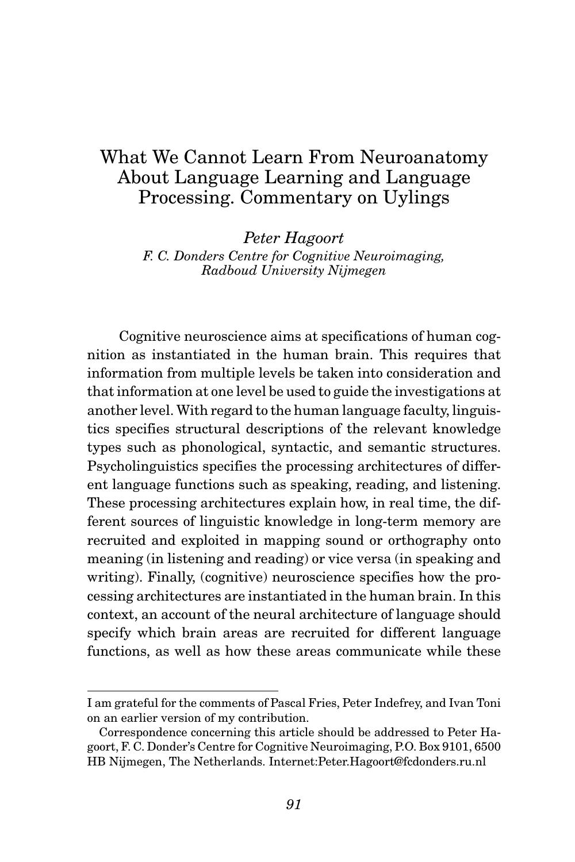## What We Cannot Learn From Neuroanatomy About Language Learning and Language Processing. Commentary on Uylings

*Peter Hagoort F. C. Donders Centre for Cognitive Neuroimaging, Radboud University Nijmegen*

Cognitive neuroscience aims at specifications of human cognition as instantiated in the human brain. This requires that information from multiple levels be taken into consideration and that information at one level be used to guide the investigations at another level. With regard to the human language faculty, linguistics specifies structural descriptions of the relevant knowledge types such as phonological, syntactic, and semantic structures. Psycholinguistics specifies the processing architectures of different language functions such as speaking, reading, and listening. These processing architectures explain how, in real time, the different sources of linguistic knowledge in long-term memory are recruited and exploited in mapping sound or orthography onto meaning (in listening and reading) or vice versa (in speaking and writing). Finally, (cognitive) neuroscience specifies how the processing architectures are instantiated in the human brain. In this context, an account of the neural architecture of language should specify which brain areas are recruited for different language functions, as well as how these areas communicate while these

I am grateful for the comments of Pascal Fries, Peter Indefrey, and Ivan Toni on an earlier version of my contribution.

Correspondence concerning this article should be addressed to Peter Hagoort, F. C. Donder's Centre for Cognitive Neuroimaging, P.O. Box 9101, 6500 HB Nijmegen, The Netherlands. Internet:Peter.Hagoort@fcdonders.ru.nl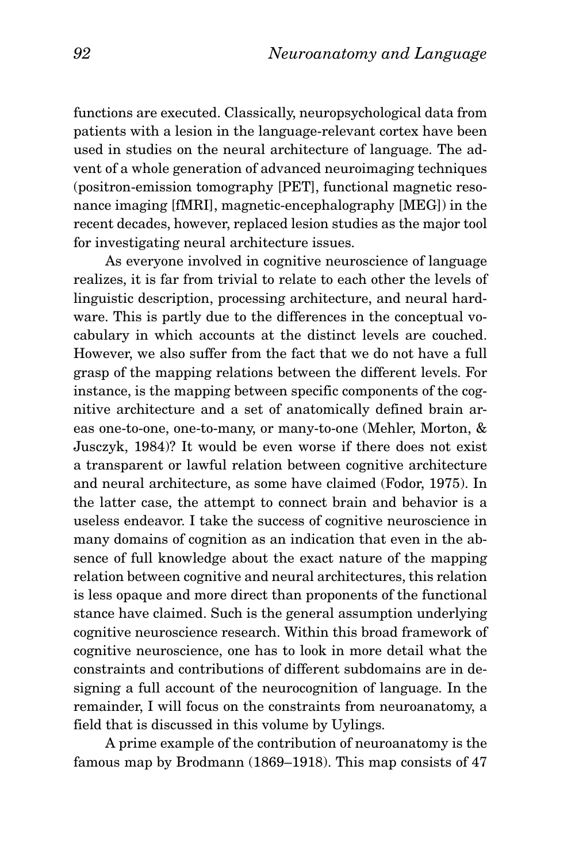functions are executed. Classically, neuropsychological data from patients with a lesion in the language-relevant cortex have been used in studies on the neural architecture of language. The advent of a whole generation of advanced neuroimaging techniques (positron-emission tomography [PET], functional magnetic resonance imaging [fMRI], magnetic-encephalography [MEG]) in the recent decades, however, replaced lesion studies as the major tool for investigating neural architecture issues.

As everyone involved in cognitive neuroscience of language realizes, it is far from trivial to relate to each other the levels of linguistic description, processing architecture, and neural hardware. This is partly due to the differences in the conceptual vocabulary in which accounts at the distinct levels are couched. However, we also suffer from the fact that we do not have a full grasp of the mapping relations between the different levels. For instance, is the mapping between specific components of the cognitive architecture and a set of anatomically defined brain areas one-to-one, one-to-many, or many-to-one (Mehler, Morton, & Jusczyk, 1984)? It would be even worse if there does not exist a transparent or lawful relation between cognitive architecture and neural architecture, as some have claimed (Fodor, 1975). In the latter case, the attempt to connect brain and behavior is a useless endeavor. I take the success of cognitive neuroscience in many domains of cognition as an indication that even in the absence of full knowledge about the exact nature of the mapping relation between cognitive and neural architectures, this relation is less opaque and more direct than proponents of the functional stance have claimed. Such is the general assumption underlying cognitive neuroscience research. Within this broad framework of cognitive neuroscience, one has to look in more detail what the constraints and contributions of different subdomains are in designing a full account of the neurocognition of language. In the remainder, I will focus on the constraints from neuroanatomy, a field that is discussed in this volume by Uylings.

A prime example of the contribution of neuroanatomy is the famous map by Brodmann (1869–1918). This map consists of 47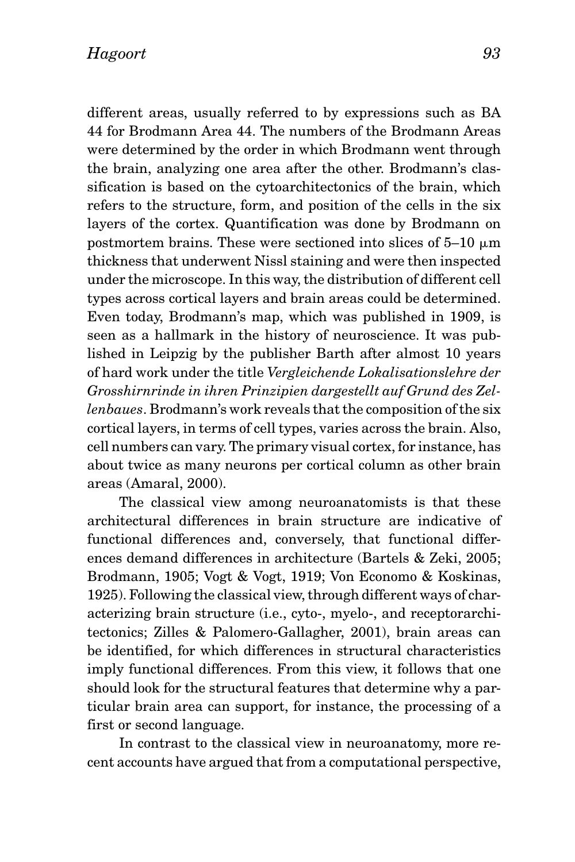different areas, usually referred to by expressions such as BA 44 for Brodmann Area 44. The numbers of the Brodmann Areas were determined by the order in which Brodmann went through the brain, analyzing one area after the other. Brodmann's classification is based on the cytoarchitectonics of the brain, which refers to the structure, form, and position of the cells in the six layers of the cortex. Quantification was done by Brodmann on postmortem brains. These were sectioned into slices of 5–10  $\mu$ m thickness that underwent Nissl staining and were then inspected under the microscope. In this way, the distribution of different cell types across cortical layers and brain areas could be determined. Even today, Brodmann's map, which was published in 1909, is seen as a hallmark in the history of neuroscience. It was published in Leipzig by the publisher Barth after almost 10 years of hard work under the title *Vergleichende Lokalisationslehre der Grosshirnrinde in ihren Prinzipien dargestellt auf Grund des Zellenbaues*. Brodmann's work reveals that the composition of the six cortical layers, in terms of cell types, varies across the brain. Also, cell numbers can vary. The primary visual cortex, for instance, has about twice as many neurons per cortical column as other brain areas (Amaral, 2000).

The classical view among neuroanatomists is that these architectural differences in brain structure are indicative of functional differences and, conversely, that functional differences demand differences in architecture (Bartels & Zeki, 2005; Brodmann, 1905; Vogt & Vogt, 1919; Von Economo & Koskinas, 1925). Following the classical view, through different ways of characterizing brain structure (i.e., cyto-, myelo-, and receptorarchitectonics; Zilles & Palomero-Gallagher, 2001), brain areas can be identified, for which differences in structural characteristics imply functional differences. From this view, it follows that one should look for the structural features that determine why a particular brain area can support, for instance, the processing of a first or second language.

In contrast to the classical view in neuroanatomy, more recent accounts have argued that from a computational perspective,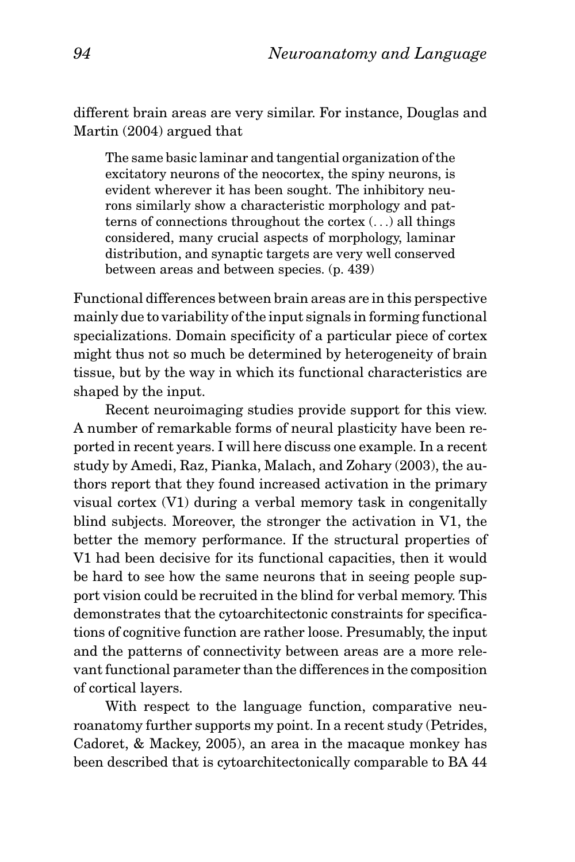different brain areas are very similar. For instance, Douglas and Martin (2004) argued that

The same basic laminar and tangential organization of the excitatory neurons of the neocortex, the spiny neurons, is evident wherever it has been sought. The inhibitory neurons similarly show a characteristic morphology and patterns of connections throughout the cortex (...) all things considered, many crucial aspects of morphology, laminar distribution, and synaptic targets are very well conserved between areas and between species. (p. 439)

Functional differences between brain areas are in this perspective mainly due to variability of the input signals in forming functional specializations. Domain specificity of a particular piece of cortex might thus not so much be determined by heterogeneity of brain tissue, but by the way in which its functional characteristics are shaped by the input.

Recent neuroimaging studies provide support for this view. A number of remarkable forms of neural plasticity have been reported in recent years. I will here discuss one example. In a recent study by Amedi, Raz, Pianka, Malach, and Zohary (2003), the authors report that they found increased activation in the primary visual cortex (V1) during a verbal memory task in congenitally blind subjects. Moreover, the stronger the activation in V1, the better the memory performance. If the structural properties of V1 had been decisive for its functional capacities, then it would be hard to see how the same neurons that in seeing people support vision could be recruited in the blind for verbal memory. This demonstrates that the cytoarchitectonic constraints for specifications of cognitive function are rather loose. Presumably, the input and the patterns of connectivity between areas are a more relevant functional parameter than the differences in the composition of cortical layers.

With respect to the language function, comparative neuroanatomy further supports my point. In a recent study (Petrides, Cadoret, & Mackey, 2005), an area in the macaque monkey has been described that is cytoarchitectonically comparable to BA 44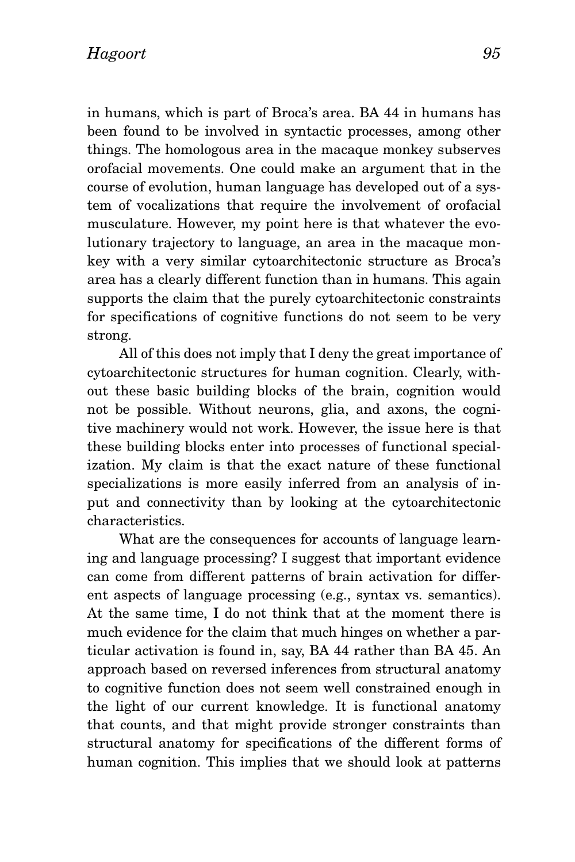in humans, which is part of Broca's area. BA 44 in humans has been found to be involved in syntactic processes, among other things. The homologous area in the macaque monkey subserves orofacial movements. One could make an argument that in the course of evolution, human language has developed out of a system of vocalizations that require the involvement of orofacial musculature. However, my point here is that whatever the evolutionary trajectory to language, an area in the macaque monkey with a very similar cytoarchitectonic structure as Broca's area has a clearly different function than in humans. This again supports the claim that the purely cytoarchitectonic constraints for specifications of cognitive functions do not seem to be very strong.

All of this does not imply that I deny the great importance of cytoarchitectonic structures for human cognition. Clearly, without these basic building blocks of the brain, cognition would not be possible. Without neurons, glia, and axons, the cognitive machinery would not work. However, the issue here is that these building blocks enter into processes of functional specialization. My claim is that the exact nature of these functional specializations is more easily inferred from an analysis of input and connectivity than by looking at the cytoarchitectonic characteristics.

What are the consequences for accounts of language learning and language processing? I suggest that important evidence can come from different patterns of brain activation for different aspects of language processing (e.g., syntax vs. semantics). At the same time, I do not think that at the moment there is much evidence for the claim that much hinges on whether a particular activation is found in, say, BA 44 rather than BA 45. An approach based on reversed inferences from structural anatomy to cognitive function does not seem well constrained enough in the light of our current knowledge. It is functional anatomy that counts, and that might provide stronger constraints than structural anatomy for specifications of the different forms of human cognition. This implies that we should look at patterns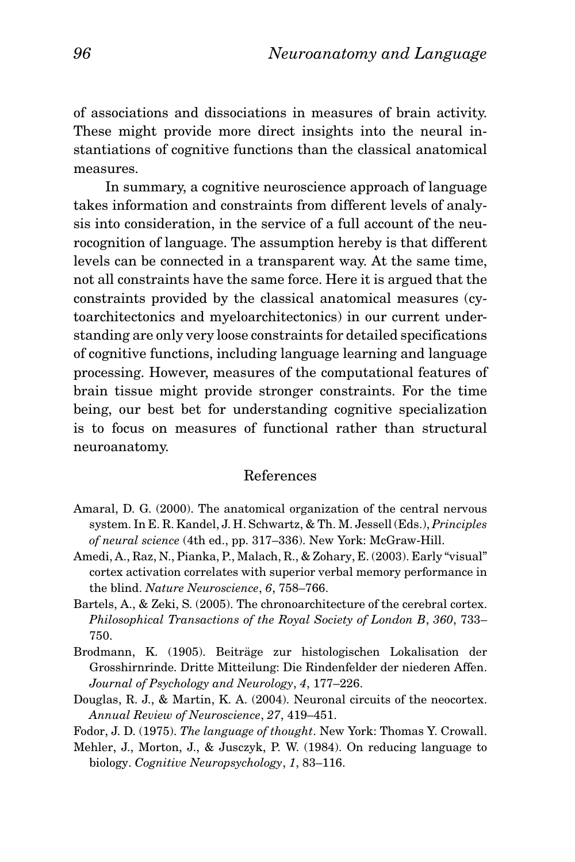of associations and dissociations in measures of brain activity. These might provide more direct insights into the neural instantiations of cognitive functions than the classical anatomical measures.

In summary, a cognitive neuroscience approach of language takes information and constraints from different levels of analysis into consideration, in the service of a full account of the neurocognition of language. The assumption hereby is that different levels can be connected in a transparent way. At the same time, not all constraints have the same force. Here it is argued that the constraints provided by the classical anatomical measures (cytoarchitectonics and myeloarchitectonics) in our current understanding are only very loose constraints for detailed specifications of cognitive functions, including language learning and language processing. However, measures of the computational features of brain tissue might provide stronger constraints. For the time being, our best bet for understanding cognitive specialization is to focus on measures of functional rather than structural neuroanatomy.

## References

- Amaral, D. G. (2000). The anatomical organization of the central nervous system. In E. R. Kandel, J. H. Schwartz, & Th. M. Jessell (Eds.), *Principles of neural science* (4th ed., pp. 317–336). New York: McGraw-Hill.
- Amedi, A., Raz, N., Pianka, P., Malach, R., & Zohary, E. (2003). Early "visual" cortex activation correlates with superior verbal memory performance in the blind. *Nature Neuroscience*, *6*, 758–766.
- Bartels, A., & Zeki, S. (2005). The chronoarchitecture of the cerebral cortex. *Philosophical Transactions of the Royal Society of London B*, *360*, 733– 750.
- Brodmann, K. (1905). Beiträge zur histologischen Lokalisation der Grosshirnrinde. Dritte Mitteilung: Die Rindenfelder der niederen Affen. *Journal of Psychology and Neurology*, *4*, 177–226.
- Douglas, R. J., & Martin, K. A. (2004). Neuronal circuits of the neocortex. *Annual Review of Neuroscience*, *27*, 419–451.

Fodor, J. D. (1975). *The language of thought*. New York: Thomas Y. Crowall.

Mehler, J., Morton, J., & Jusczyk, P. W. (1984). On reducing language to biology. *Cognitive Neuropsychology*, *1*, 83–116.